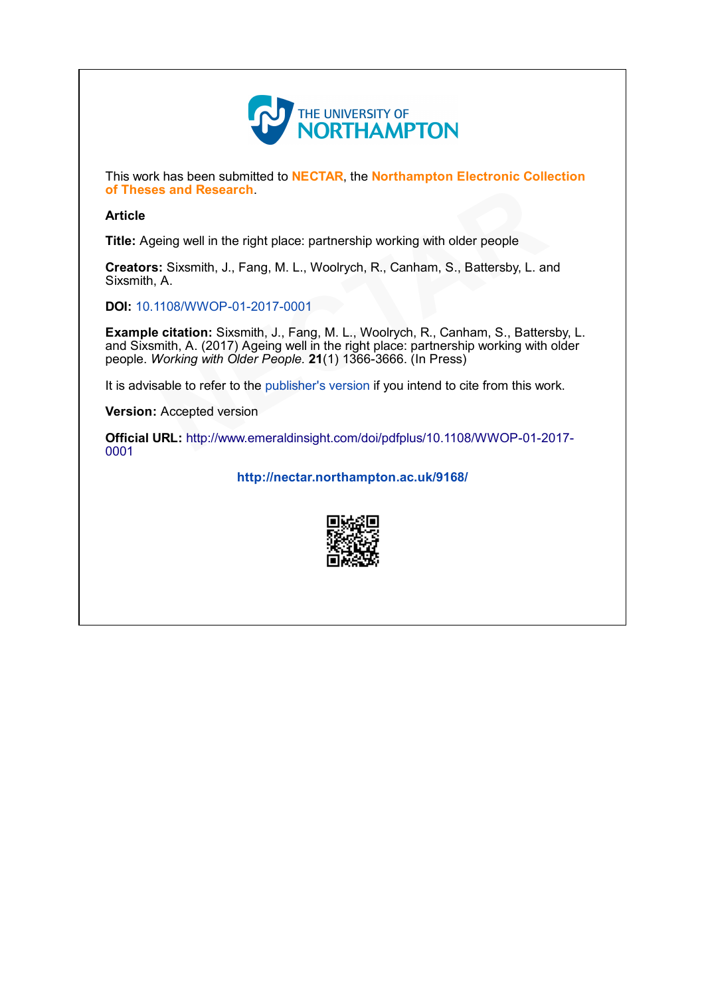

This work has been submitted to NECTAR, the Northampton Electronic Collection of Theses and Research.

## Article

Title: Ageing well in the right place: partnership working with older people

Creators: Sixsmith, J., Fang, M. L., Woolrych, R., Canham, S., Battersby, L. and Sixsmith, A.

**DOI:** 10.1108/WWOP-01-2017-0001

**Example citation:** Sixsmith, J., Fang, M. L., Woolrych, R., Canham, S., Battersby, L. and Sixsmith, A. (2017) Ageing well in the right place: partnership working with older people. Working with Older People. 21(1) 1366-3666. (In Press) **Example 18**<br>the right place: partnership working with older people<br>J., Fang, M. L., Woolrych, R., Canham, S., Battersby, L. ar<br>P-01-2017-0001<br>Sixsmith, J., Fang, M. L., Woolrych, R., Canham, S., Batters<br>17) Ageing well in

It is advisable to refer to the publisher's version if you intend to cite from this work.

Version: Accepted version

Official URL: http://www.emeraldinsight.com/doi/pdfplus/10.1108/WWOP-01-2017people. *Working with Older Peop*<br>It is advisable to refer to the pub<br>Version: Accepted version<br>Official URL: http://www.emeral<br>0001

<http://nectar.northampton.ac.uk/9168/>

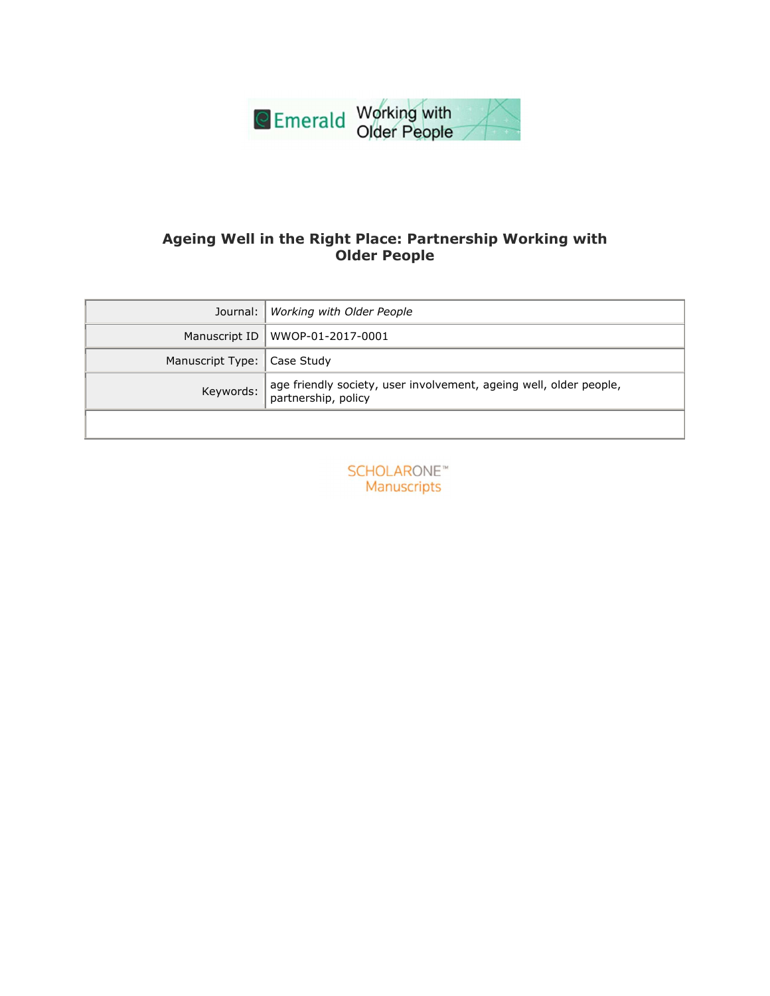

## **Ageing Well in the Right Place: Partnership Working with Older People**

|                               | Journal:   Working with Older People                                                                       |
|-------------------------------|------------------------------------------------------------------------------------------------------------|
|                               | Manuscript ID   WWOP-01-2017-0001                                                                          |
| Manuscript Type:   Case Study |                                                                                                            |
|                               | Keywords: age friendly society, user involvement, ageing well, older people, keywords: partnership, policy |
|                               |                                                                                                            |

**SCHOLARONE™** Manuscripts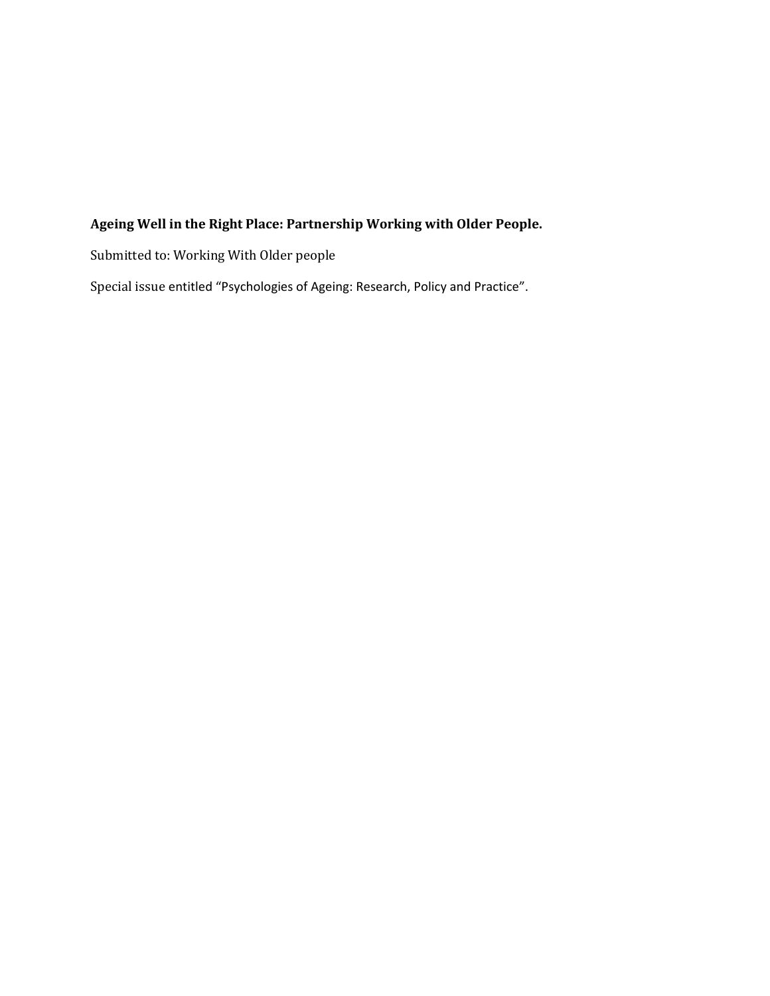# **Ageing Well in the Right Place: Partnership Working with Older People.**

Submitted to: Working With Older people

Special issue entitled "Psychologies of Ageing: Research, Policy and Practice".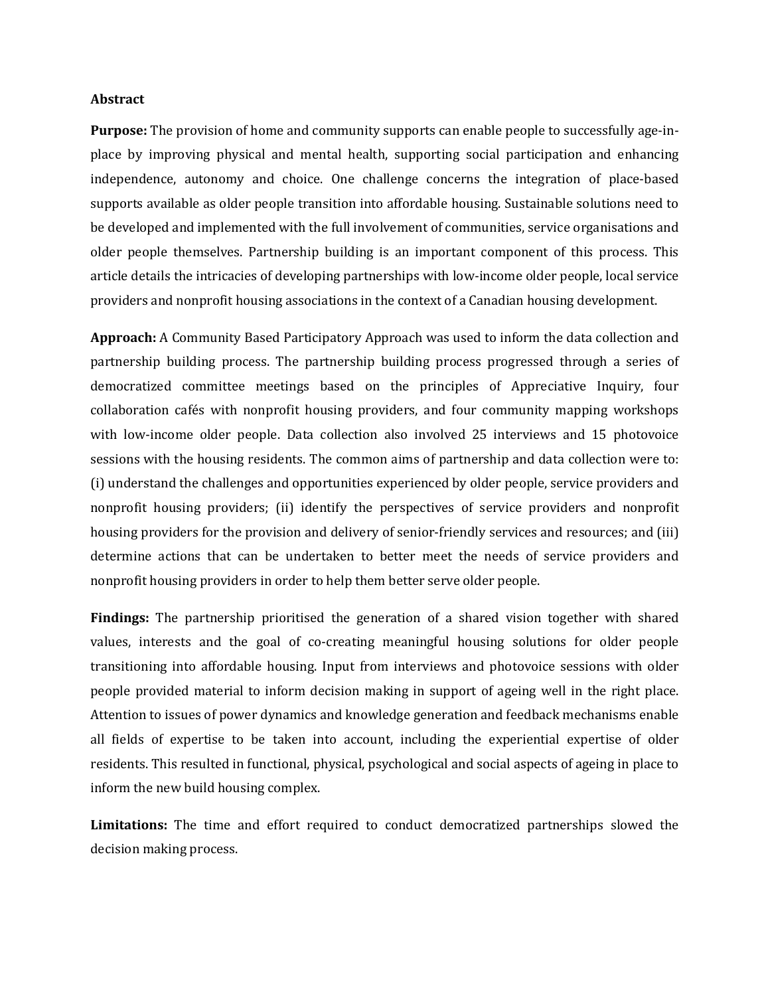#### **Abstract**

**Purpose:** The provision of home and community supports can enable people to successfully age-inplace by improving physical and mental health, supporting social participation and enhancing independence, autonomy and choice. One challenge concerns the integration of place-based supports available as older people transition into affordable housing. Sustainable solutions need to be developed and implemented with the full involvement of communities, service organisations and older people themselves. Partnership building is an important component of this process. This article details the intricacies of developing partnerships with low-income older people, local service providers and nonprofit housing associations in the context of a Canadian housing development.

**Approach:** A Community Based Participatory Approach was used to inform the data collection and partnership building process. The partnership building process progressed through a series of democratized committee meetings based on the principles of Appreciative Inquiry, four collaboration cafés with nonprofit housing providers, and four community mapping workshops with low-income older people. Data collection also involved 25 interviews and 15 photovoice sessions with the housing residents. The common aims of partnership and data collection were to: (i) understand the challenges and opportunities experienced by older people, service providers and nonprofit housing providers; (ii) identify the perspectives of service providers and nonprofit housing providers for the provision and delivery of senior-friendly services and resources; and (iii) determine actions that can be undertaken to better meet the needs of service providers and nonprofit housing providers in order to help them better serve older people.

**Findings:** The partnership prioritised the generation of a shared vision together with shared values, interests and the goal of co-creating meaningful housing solutions for older people transitioning into affordable housing. Input from interviews and photovoice sessions with older people provided material to inform decision making in support of ageing well in the right place. Attention to issues of power dynamics and knowledge generation and feedback mechanisms enable all fields of expertise to be taken into account, including the experiential expertise of older residents. This resulted in functional, physical, psychological and social aspects of ageing in place to inform the new build housing complex.

**Limitations:** The time and effort required to conduct democratized partnerships slowed the decision making process.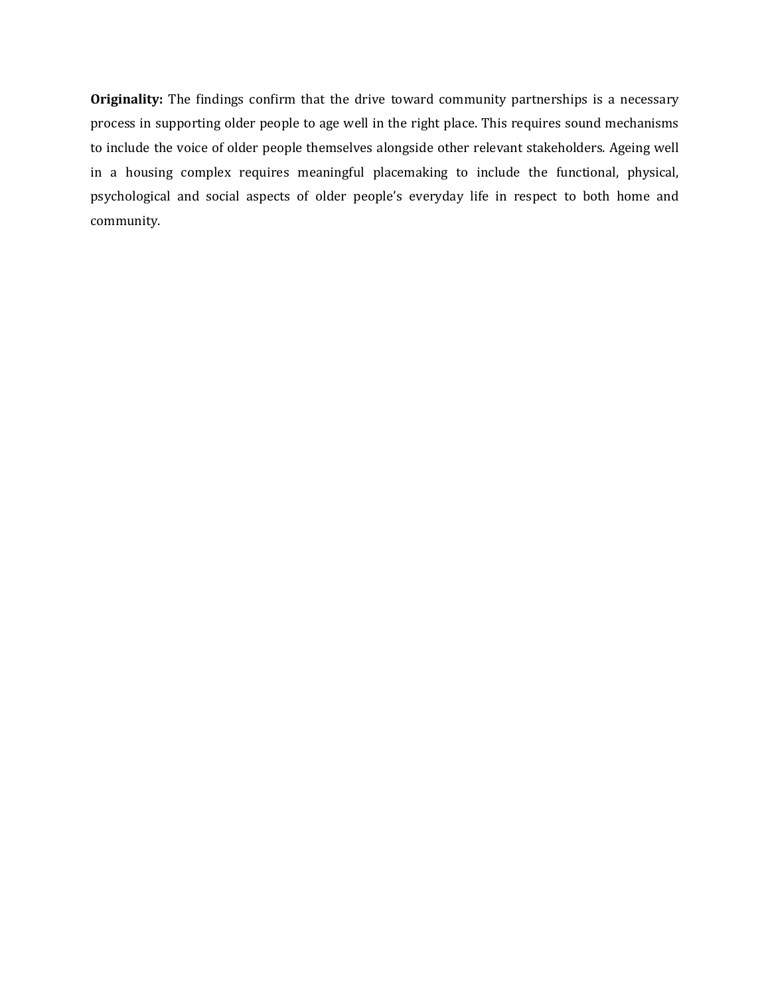**Originality:** The findings confirm that the drive toward community partnerships is a necessary process in supporting older people to age well in the right place. This requires sound mechanisms to include the voice of older people themselves alongside other relevant stakeholders. Ageing well in a housing complex requires meaningful placemaking to include the functional, physical, psychological and social aspects of older people's everyday life in respect to both home and community.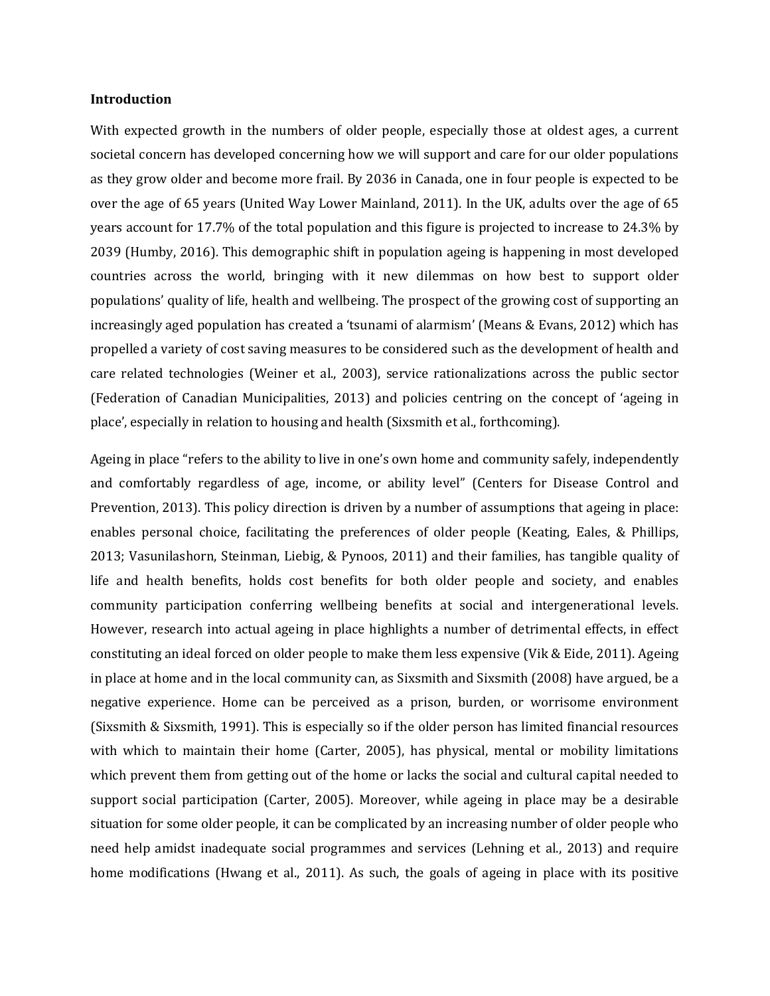#### **Introduction**

With expected growth in the numbers of older people, especially those at oldest ages, a current societal concern has developed concerning how we will support and care for our older populations as they grow older and become more frail. By 2036 in Canada, one in four people is expected to be over the age of 65 years (United Way Lower Mainland, 2011). In the UK, adults over the age of 65 years account for 17.7% of the total population and this figure is projected to increase to 24.3% by 2039 (Humby, 2016). This demographic shift in population ageing is happening in most developed countries across the world, bringing with it new dilemmas on how best to support older populations' quality of life, health and wellbeing. The prospect of the growing cost of supporting an increasingly aged population has created a 'tsunami of alarmism' (Means & Evans, 2012) which has propelled a variety of cost saving measures to be considered such as the development of health and care related technologies (Weiner et al., 2003), service rationalizations across the public sector (Federation of Canadian Municipalities, 2013) and policies centring on the concept of 'ageing in place', especially in relation to housing and health (Sixsmith et al., forthcoming).

Ageing in place "refers to the ability to live in one's own home and community safely, independently and comfortably regardless of age, income, or ability level" (Centers for Disease Control and Prevention, 2013). This policy direction is driven by a number of assumptions that ageing in place: enables personal choice, facilitating the preferences of older people (Keating, Eales, & Phillips, 2013; Vasunilashorn, Steinman, Liebig, & Pynoos, 2011) and their families, has tangible quality of life and health benefits, holds cost benefits for both older people and society, and enables community participation conferring wellbeing benefits at social and intergenerational levels. However, research into actual ageing in place highlights a number of detrimental effects, in effect constituting an ideal forced on older people to make them less expensive (Vik & Eide, 2011). Ageing in place at home and in the local community can, as Sixsmith and Sixsmith (2008) have argued, be a negative experience. Home can be perceived as a prison, burden, or worrisome environment (Sixsmith & Sixsmith, 1991). This is especially so if the older person has limited financial resources with which to maintain their home (Carter, 2005), has physical, mental or mobility limitations which prevent them from getting out of the home or lacks the social and cultural capital needed to support social participation (Carter, 2005). Moreover, while ageing in place may be a desirable situation for some older people, it can be complicated by an increasing number of older people who need help amidst inadequate social programmes and services (Lehning et al., 2013) and require home modifications (Hwang et al., 2011). As such, the goals of ageing in place with its positive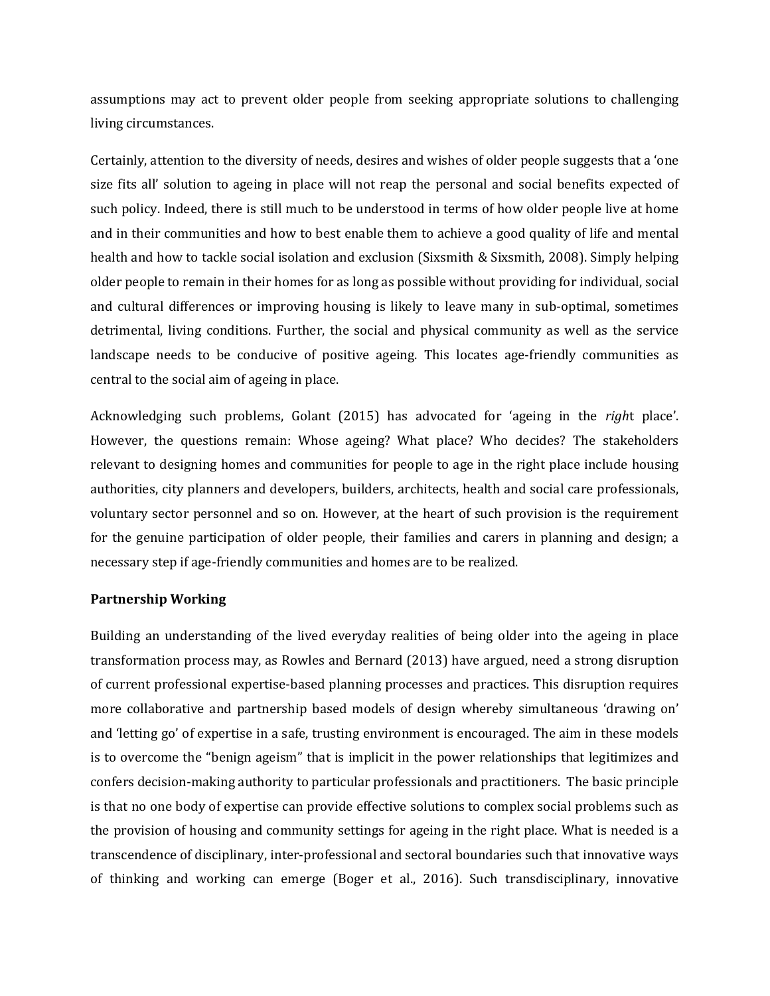assumptions may act to prevent older people from seeking appropriate solutions to challenging living circumstances.

Certainly, attention to the diversity of needs, desires and wishes of older people suggests that a 'one size fits all' solution to ageing in place will not reap the personal and social benefits expected of such policy. Indeed, there is still much to be understood in terms of how older people live at home and in their communities and how to best enable them to achieve a good quality of life and mental health and how to tackle social isolation and exclusion (Sixsmith & Sixsmith, 2008). Simply helping older people to remain in their homes for as long as possible without providing for individual, social and cultural differences or improving housing is likely to leave many in sub-optimal, sometimes detrimental, living conditions. Further, the social and physical community as well as the service landscape needs to be conducive of positive ageing. This locates age-friendly communities as central to the social aim of ageing in place.

Acknowledging such problems, Golant (2015) has advocated for 'ageing in the *righ*t place'. However, the questions remain: Whose ageing? What place? Who decides? The stakeholders relevant to designing homes and communities for people to age in the right place include housing authorities, city planners and developers, builders, architects, health and social care professionals, voluntary sector personnel and so on. However, at the heart of such provision is the requirement for the genuine participation of older people, their families and carers in planning and design; a necessary step if age-friendly communities and homes are to be realized.

## **Partnership Working**

Building an understanding of the lived everyday realities of being older into the ageing in place transformation process may, as Rowles and Bernard (2013) have argued, need a strong disruption of current professional expertise-based planning processes and practices. This disruption requires more collaborative and partnership based models of design whereby simultaneous 'drawing on' and 'letting go' of expertise in a safe, trusting environment is encouraged. The aim in these models is to overcome the "benign ageism" that is implicit in the power relationships that legitimizes and confers decision-making authority to particular professionals and practitioners. The basic principle is that no one body of expertise can provide effective solutions to complex social problems such as the provision of housing and community settings for ageing in the right place. What is needed is a transcendence of disciplinary, inter-professional and sectoral boundaries such that innovative ways of thinking and working can emerge (Boger et al., 2016). Such transdisciplinary, innovative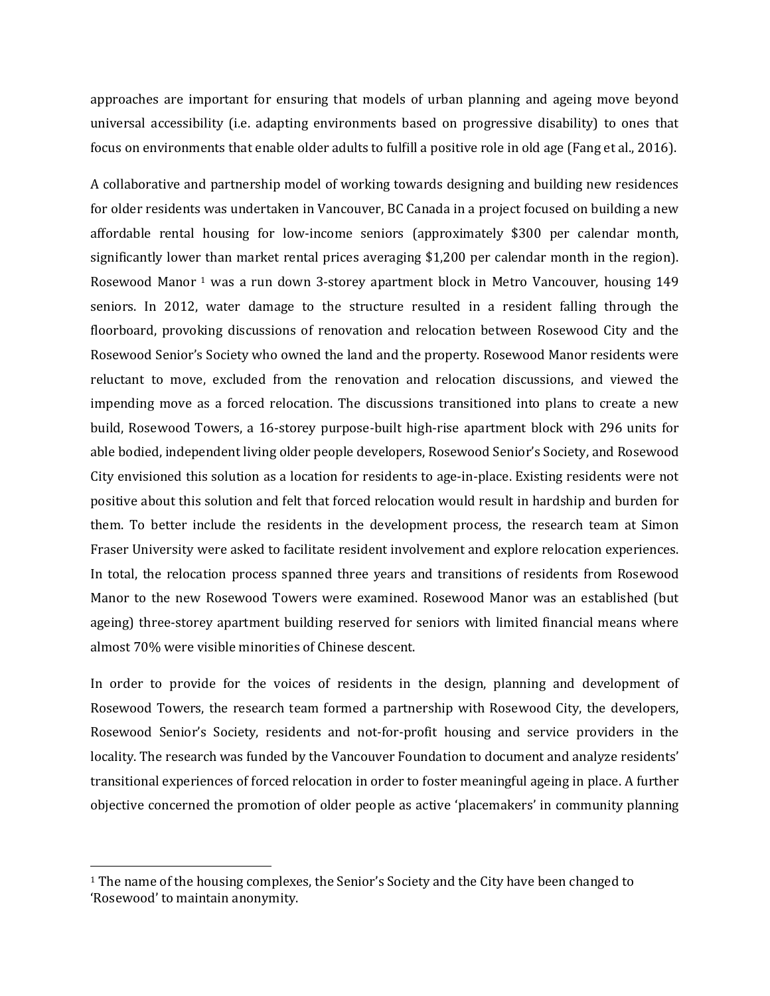approaches are important for ensuring that models of urban planning and ageing move beyond universal accessibility (i.e. adapting environments based on progressive disability) to ones that focus on environments that enable older adults to fulfill a positive role in old age (Fang et al., 2016).

A collaborative and partnership model of working towards designing and building new residences for older residents was undertaken in Vancouver, BC Canada in a project focused on building a new affordable rental housing for low-income seniors (approximately \$300 per calendar month, significantly lower than market rental prices averaging \$1,200 per calendar month in the region). Rosewood Manor 1 was a run down 3-storey apartment block in Metro Vancouver, housing 149 seniors. In 2012, water damage to the structure resulted in a resident falling through the floorboard, provoking discussions of renovation and relocation between Rosewood City and the Rosewood Senior's Society who owned the land and the property. Rosewood Manor residents were reluctant to move, excluded from the renovation and relocation discussions, and viewed the impending move as a forced relocation. The discussions transitioned into plans to create a new build, Rosewood Towers, a 16-storey purpose-built high-rise apartment block with 296 units for able bodied, independent living older people developers, Rosewood Senior's Society, and Rosewood City envisioned this solution as a location for residents to age-in-place. Existing residents were not positive about this solution and felt that forced relocation would result in hardship and burden for them. To better include the residents in the development process, the research team at Simon Fraser University were asked to facilitate resident involvement and explore relocation experiences. In total, the relocation process spanned three years and transitions of residents from Rosewood Manor to the new Rosewood Towers were examined. Rosewood Manor was an established (but ageing) three-storey apartment building reserved for seniors with limited financial means where almost 70% were visible minorities of Chinese descent.

In order to provide for the voices of residents in the design, planning and development of Rosewood Towers, the research team formed a partnership with Rosewood City, the developers, Rosewood Senior's Society, residents and not-for-profit housing and service providers in the locality. The research was funded by the Vancouver Foundation to document and analyze residents' transitional experiences of forced relocation in order to foster meaningful ageing in place. A further objective concerned the promotion of older people as active 'placemakers' in community planning

 $\overline{a}$ 

<sup>&</sup>lt;sup>1</sup> The name of the housing complexes, the Senior's Society and the City have been changed to 'Rosewood' to maintain anonymity.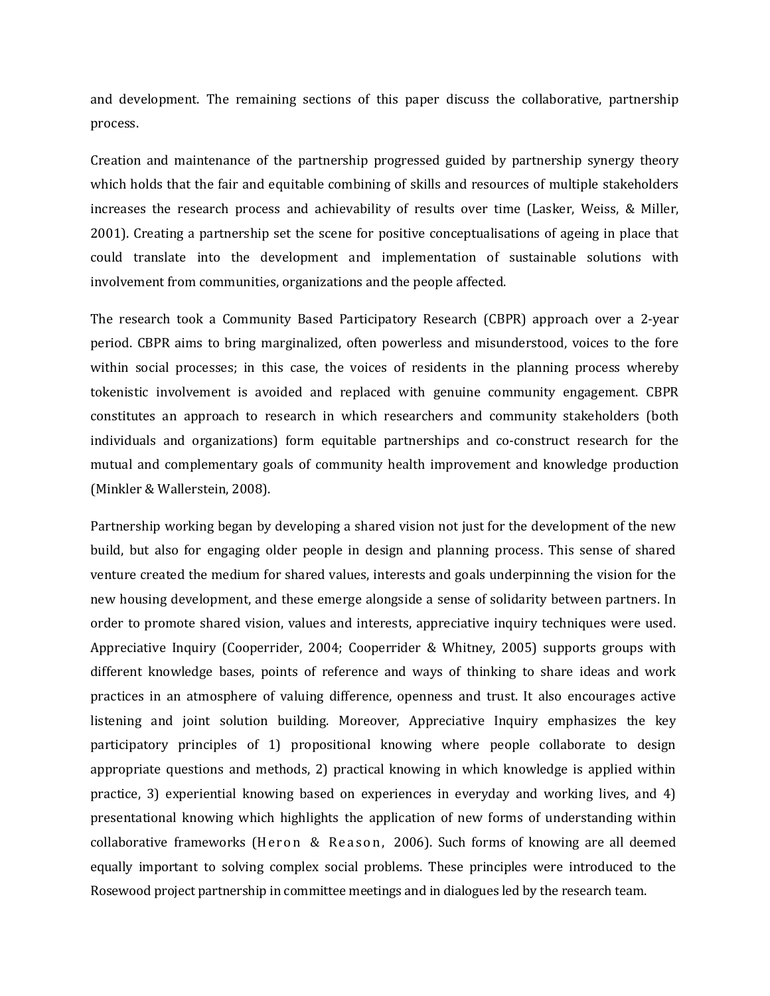and development. The remaining sections of this paper discuss the collaborative, partnership process.

Creation and maintenance of the partnership progressed guided by partnership synergy theory which holds that the fair and equitable combining of skills and resources of multiple stakeholders increases the research process and achievability of results over time (Lasker, Weiss, & Miller, 2001). Creating a partnership set the scene for positive conceptualisations of ageing in place that could translate into the development and implementation of sustainable solutions with involvement from communities, organizations and the people affected.

The research took a Community Based Participatory Research (CBPR) approach over a 2-year period. CBPR aims to bring marginalized, often powerless and misunderstood, voices to the fore within social processes; in this case, the voices of residents in the planning process whereby tokenistic involvement is avoided and replaced with genuine community engagement. CBPR constitutes an approach to research in which researchers and community stakeholders (both individuals and organizations) form equitable partnerships and co-construct research for the mutual and complementary goals of community health improvement and knowledge production (Minkler & Wallerstein, 2008).

Partnership working began by developing a shared vision not just for the development of the new build, but also for engaging older people in design and planning process. This sense of shared venture created the medium for shared values, interests and goals underpinning the vision for the new housing development, and these emerge alongside a sense of solidarity between partners. In order to promote shared vision, values and interests, appreciative inquiry techniques were used. Appreciative Inquiry (Cooperrider, 2004; Cooperrider & Whitney, 2005) supports groups with different knowledge bases, points of reference and ways of thinking to share ideas and work practices in an atmosphere of valuing difference, openness and trust. It also encourages active listening and joint solution building. Moreover, Appreciative Inquiry emphasizes the key participatory principles of 1) propositional knowing where people collaborate to design appropriate questions and methods, 2) practical knowing in which knowledge is applied within practice, 3) experiential knowing based on experiences in everyday and working lives, and 4) presentational knowing which highlights the application of new forms of understanding within collaborative frameworks (Heron & Reason, 2006). Such forms of knowing are all deemed equally important to solving complex social problems. These principles were introduced to the Rosewood project partnership in committee meetings and in dialogues led by the research team.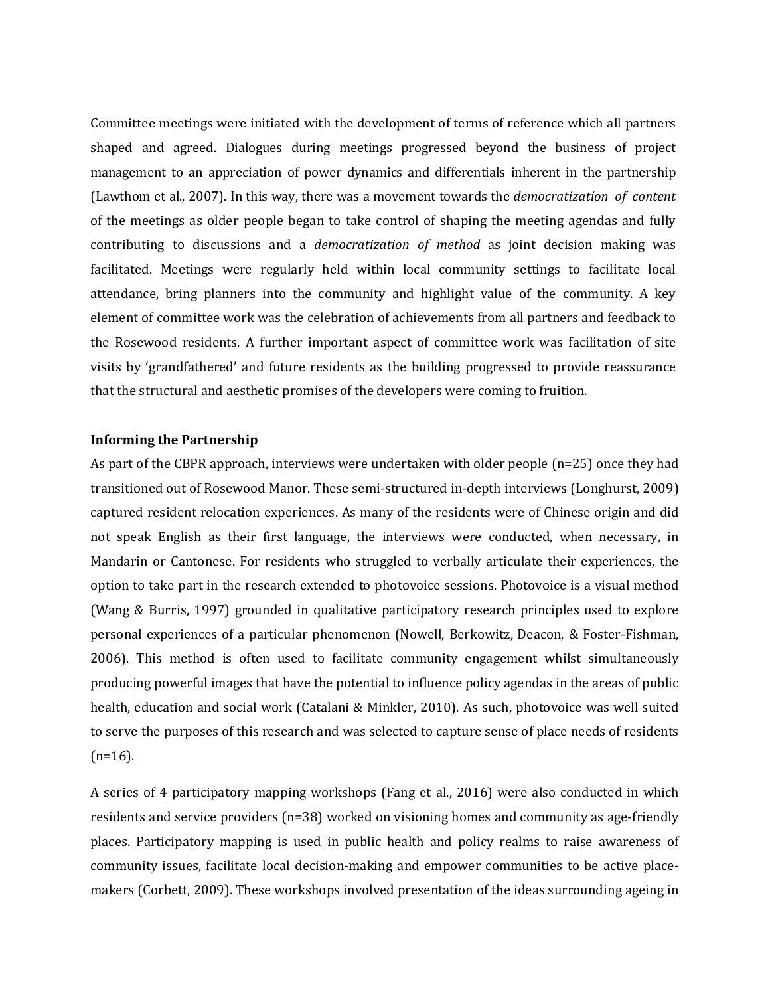Committee meetings were initiated with the development of terms of reference which all partners shaped and agreed. Dialogues during meetings progressed beyond the business of project management to an appreciation of power dynamics and differentials inherent in the partnership (Lawthom et al., 2007). In this way, there was a movement towards the *democratization of content*  of the meetings as older people began to take control of shaping the meeting agendas and fully contributing to discussions and a *democratization of method* as joint decision making was facilitated. Meetings were regularly held within local community settings to facilitate local attendance, bring planners into the community and highlight value of the community. A key element of committee work was the celebration of achievements from all partners and feedback to the Rosewood residents. A further important aspect of committee work was facilitation of site visits by 'grandfathered' and future residents as the building progressed to provide reassurance that the structural and aesthetic promises of the developers were coming to fruition.

### **Informing the Partnership**

As part of the CBPR approach, interviews were undertaken with older people (n=25) once they had transitioned out of Rosewood Manor. These semi-structured in-depth interviews (Longhurst, 2009) captured resident relocation experiences. As many of the residents were of Chinese origin and did not speak English as their first language, the interviews were conducted, when necessary, in Mandarin or Cantonese. For residents who struggled to verbally articulate their experiences, the option to take part in the research extended to photovoice sessions. Photovoice is a visual method (Wang & Burris, 1997) grounded in qualitative participatory research principles used to explore personal experiences of a particular phenomenon (Nowell, Berkowitz, Deacon, & Foster-Fishman, 2006). This method is often used to facilitate community engagement whilst simultaneously producing powerful images that have the potential to influence policy agendas in the areas of public health, education and social work (Catalani & Minkler, 2010). As such, photovoice was well suited to serve the purposes of this research and was selected to capture sense of place needs of residents  $(n=16)$ .

A series of 4 participatory mapping workshops (Fang et al., 2016) were also conducted in which residents and service providers (n=38) worked on visioning homes and community as age-friendly places. Participatory mapping is used in public health and policy realms to raise awareness of community issues, facilitate local decision-making and empower communities to be active placemakers (Corbett, 2009). These workshops involved presentation of the ideas surrounding ageing in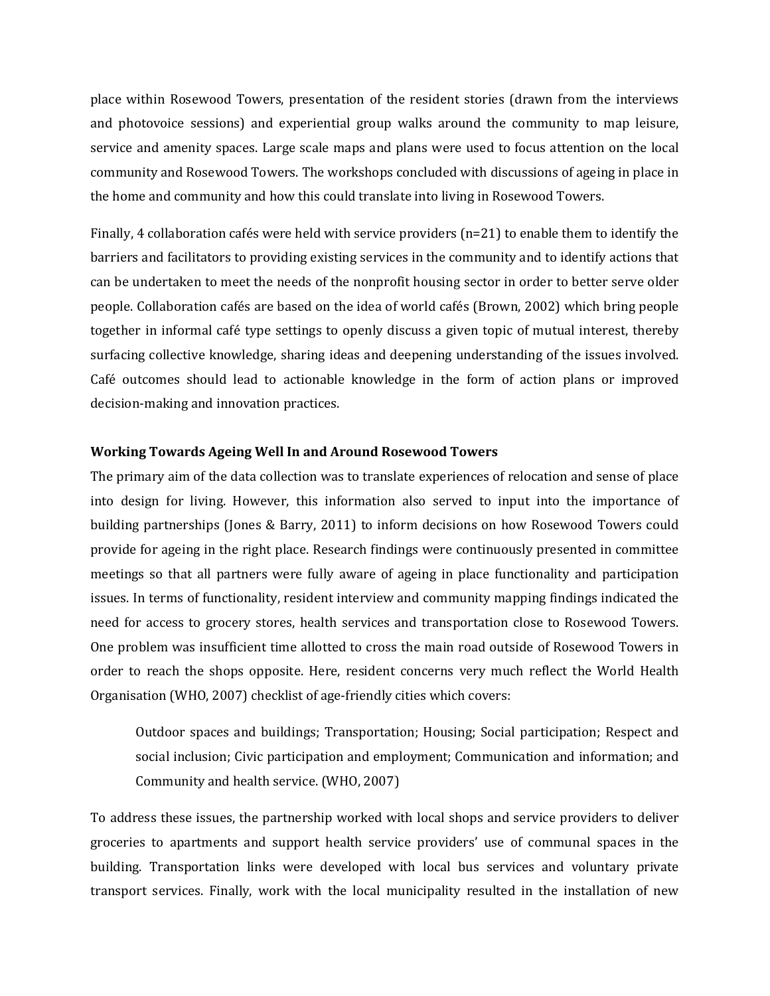place within Rosewood Towers, presentation of the resident stories (drawn from the interviews and photovoice sessions) and experiential group walks around the community to map leisure, service and amenity spaces. Large scale maps and plans were used to focus attention on the local community and Rosewood Towers. The workshops concluded with discussions of ageing in place in the home and community and how this could translate into living in Rosewood Towers.

Finally, 4 collaboration cafés were held with service providers (n=21) to enable them to identify the barriers and facilitators to providing existing services in the community and to identify actions that can be undertaken to meet the needs of the nonprofit housing sector in order to better serve older people. Collaboration cafés are based on the idea of world cafés (Brown, 2002) which bring people together in informal café type settings to openly discuss a given topic of mutual interest, thereby surfacing collective knowledge, sharing ideas and deepening understanding of the issues involved. Café outcomes should lead to actionable knowledge in the form of action plans or improved decision-making and innovation practices.

#### **Working Towards Ageing Well In and Around Rosewood Towers**

The primary aim of the data collection was to translate experiences of relocation and sense of place into design for living. However, this information also served to input into the importance of building partnerships (Jones & Barry, 2011) to inform decisions on how Rosewood Towers could provide for ageing in the right place. Research findings were continuously presented in committee meetings so that all partners were fully aware of ageing in place functionality and participation issues. In terms of functionality, resident interview and community mapping findings indicated the need for access to grocery stores, health services and transportation close to Rosewood Towers. One problem was insufficient time allotted to cross the main road outside of Rosewood Towers in order to reach the shops opposite. Here, resident concerns very much reflect the World Health Organisation (WHO, 2007) checklist of age-friendly cities which covers:

Outdoor spaces and buildings; Transportation; Housing; Social participation; Respect and social inclusion; Civic participation and employment; Communication and information; and Community and health service. (WHO, 2007)

To address these issues, the partnership worked with local shops and service providers to deliver groceries to apartments and support health service providers' use of communal spaces in the building. Transportation links were developed with local bus services and voluntary private transport services. Finally, work with the local municipality resulted in the installation of new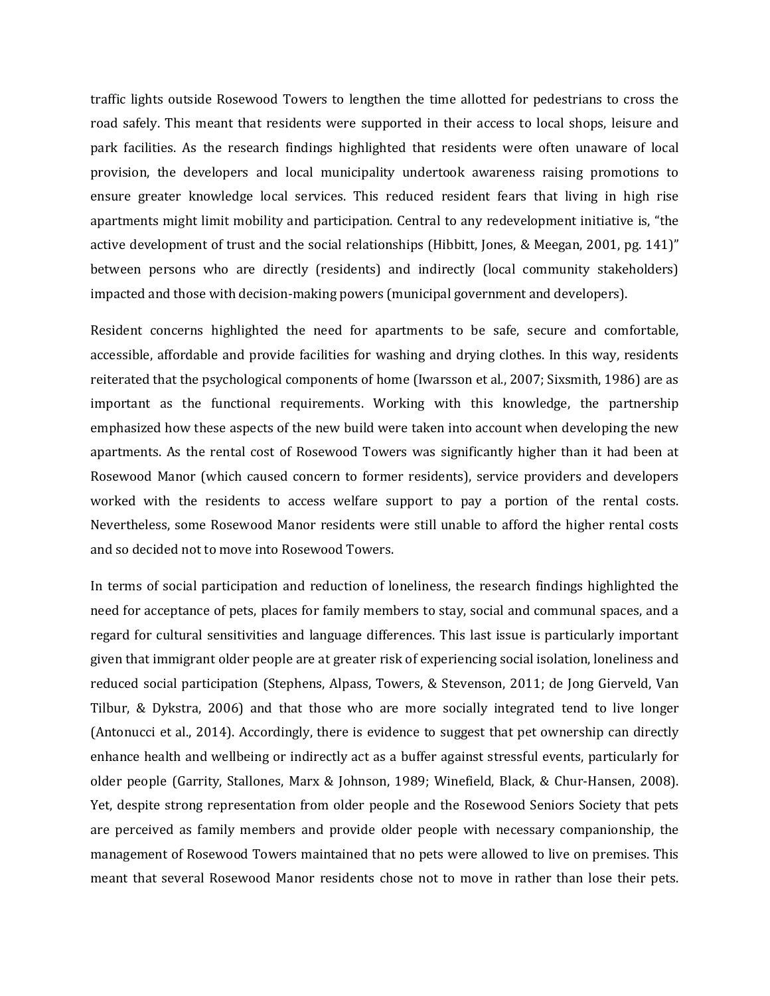traffic lights outside Rosewood Towers to lengthen the time allotted for pedestrians to cross the road safely. This meant that residents were supported in their access to local shops, leisure and park facilities. As the research findings highlighted that residents were often unaware of local provision, the developers and local municipality undertook awareness raising promotions to ensure greater knowledge local services. This reduced resident fears that living in high rise apartments might limit mobility and participation. Central to any redevelopment initiative is, "the active development of trust and the social relationships (Hibbitt, Jones, & Meegan, 2001, pg. 141)" between persons who are directly (residents) and indirectly (local community stakeholders) impacted and those with decision-making powers (municipal government and developers).

Resident concerns highlighted the need for apartments to be safe, secure and comfortable, accessible, affordable and provide facilities for washing and drying clothes. In this way, residents reiterated that the psychological components of home (Iwarsson et al., 2007; Sixsmith, 1986) are as important as the functional requirements. Working with this knowledge, the partnership emphasized how these aspects of the new build were taken into account when developing the new apartments. As the rental cost of Rosewood Towers was significantly higher than it had been at Rosewood Manor (which caused concern to former residents), service providers and developers worked with the residents to access welfare support to pay a portion of the rental costs. Nevertheless, some Rosewood Manor residents were still unable to afford the higher rental costs and so decided not to move into Rosewood Towers.

In terms of social participation and reduction of loneliness, the research findings highlighted the need for acceptance of pets, places for family members to stay, social and communal spaces, and a regard for cultural sensitivities and language differences. This last issue is particularly important given that immigrant older people are at greater risk of experiencing social isolation, loneliness and reduced social participation (Stephens, Alpass, Towers, & Stevenson, 2011; de Jong Gierveld, Van Tilbur, & Dykstra, 2006) and that those who are more socially integrated tend to live longer (Antonucci et al., 2014). Accordingly, there is evidence to suggest that pet ownership can directly enhance health and wellbeing or indirectly act as a buffer against stressful events, particularly for older people (Garrity, Stallones, Marx & Johnson, 1989; Winefield, Black, & Chur-Hansen, 2008). Yet, despite strong representation from older people and the Rosewood Seniors Society that pets are perceived as family members and provide older people with necessary companionship, the management of Rosewood Towers maintained that no pets were allowed to live on premises. This meant that several Rosewood Manor residents chose not to move in rather than lose their pets.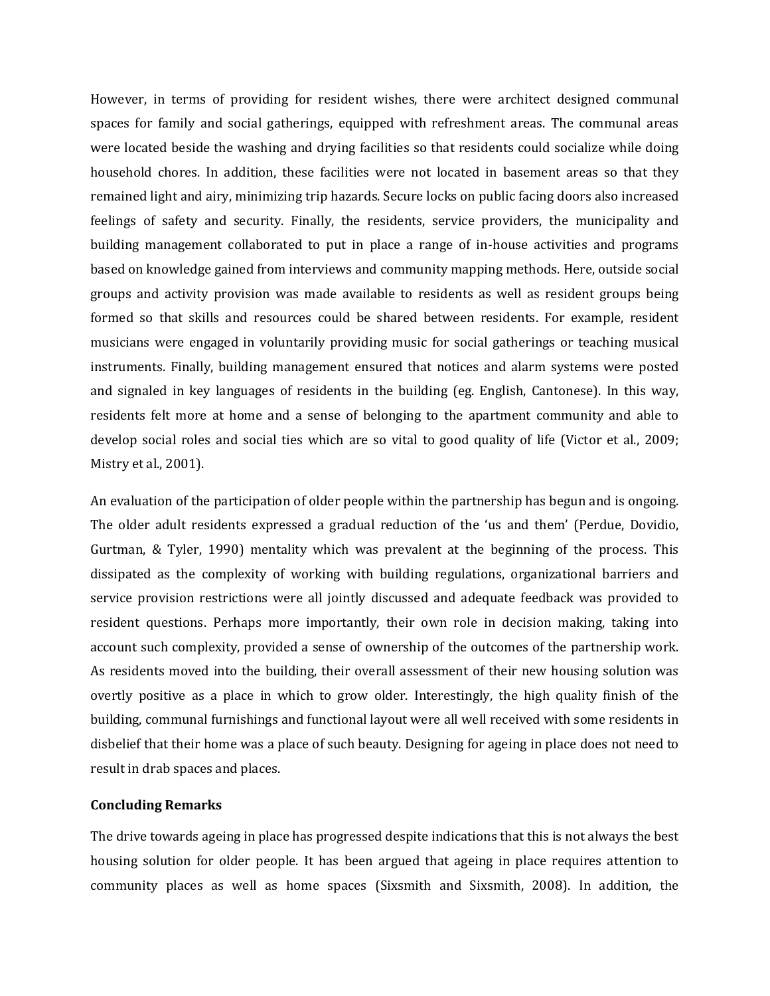However, in terms of providing for resident wishes, there were architect designed communal spaces for family and social gatherings, equipped with refreshment areas. The communal areas were located beside the washing and drying facilities so that residents could socialize while doing household chores. In addition, these facilities were not located in basement areas so that they remained light and airy, minimizing trip hazards. Secure locks on public facing doors also increased feelings of safety and security. Finally, the residents, service providers, the municipality and building management collaborated to put in place a range of in-house activities and programs based on knowledge gained from interviews and community mapping methods. Here, outside social groups and activity provision was made available to residents as well as resident groups being formed so that skills and resources could be shared between residents. For example, resident musicians were engaged in voluntarily providing music for social gatherings or teaching musical instruments. Finally, building management ensured that notices and alarm systems were posted and signaled in key languages of residents in the building (eg. English, Cantonese). In this way, residents felt more at home and a sense of belonging to the apartment community and able to develop social roles and social ties which are so vital to good quality of life (Victor et al., 2009; Mistry et al., 2001).

An evaluation of the participation of older people within the partnership has begun and is ongoing. The older adult residents expressed a gradual reduction of the 'us and them' (Perdue, Dovidio, Gurtman, & Tyler, 1990) mentality which was prevalent at the beginning of the process. This dissipated as the complexity of working with building regulations, organizational barriers and service provision restrictions were all jointly discussed and adequate feedback was provided to resident questions. Perhaps more importantly, their own role in decision making, taking into account such complexity, provided a sense of ownership of the outcomes of the partnership work. As residents moved into the building, their overall assessment of their new housing solution was overtly positive as a place in which to grow older. Interestingly, the high quality finish of the building, communal furnishings and functional layout were all well received with some residents in disbelief that their home was a place of such beauty. Designing for ageing in place does not need to result in drab spaces and places.

## **Concluding Remarks**

The drive towards ageing in place has progressed despite indications that this is not always the best housing solution for older people. It has been argued that ageing in place requires attention to community places as well as home spaces (Sixsmith and Sixsmith, 2008). In addition, the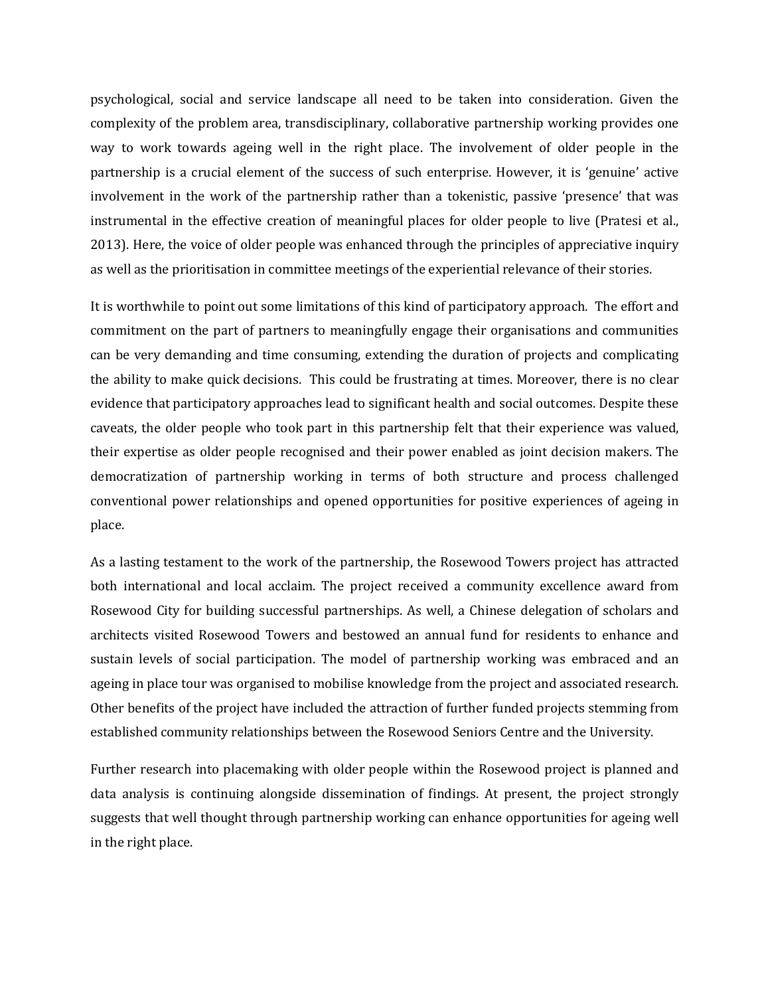psychological, social and service landscape all need to be taken into consideration. Given the complexity of the problem area, transdisciplinary, collaborative partnership working provides one way to work towards ageing well in the right place. The involvement of older people in the partnership is a crucial element of the success of such enterprise. However, it is 'genuine' active involvement in the work of the partnership rather than a tokenistic, passive 'presence' that was instrumental in the effective creation of meaningful places for older people to live (Pratesi et al., 2013). Here, the voice of older people was enhanced through the principles of appreciative inquiry as well as the prioritisation in committee meetings of the experiential relevance of their stories.

It is worthwhile to point out some limitations of this kind of participatory approach. The effort and commitment on the part of partners to meaningfully engage their organisations and communities can be very demanding and time consuming, extending the duration of projects and complicating the ability to make quick decisions. This could be frustrating at times. Moreover, there is no clear evidence that participatory approaches lead to significant health and social outcomes. Despite these caveats, the older people who took part in this partnership felt that their experience was valued, their expertise as older people recognised and their power enabled as joint decision makers. The democratization of partnership working in terms of both structure and process challenged conventional power relationships and opened opportunities for positive experiences of ageing in place.

As a lasting testament to the work of the partnership, the Rosewood Towers project has attracted both international and local acclaim. The project received a community excellence award from Rosewood City for building successful partnerships. As well, a Chinese delegation of scholars and architects visited Rosewood Towers and bestowed an annual fund for residents to enhance and sustain levels of social participation. The model of partnership working was embraced and an ageing in place tour was organised to mobilise knowledge from the project and associated research. Other benefits of the project have included the attraction of further funded projects stemming from established community relationships between the Rosewood Seniors Centre and the University.

Further research into placemaking with older people within the Rosewood project is planned and data analysis is continuing alongside dissemination of findings. At present, the project strongly suggests that well thought through partnership working can enhance opportunities for ageing well in the right place.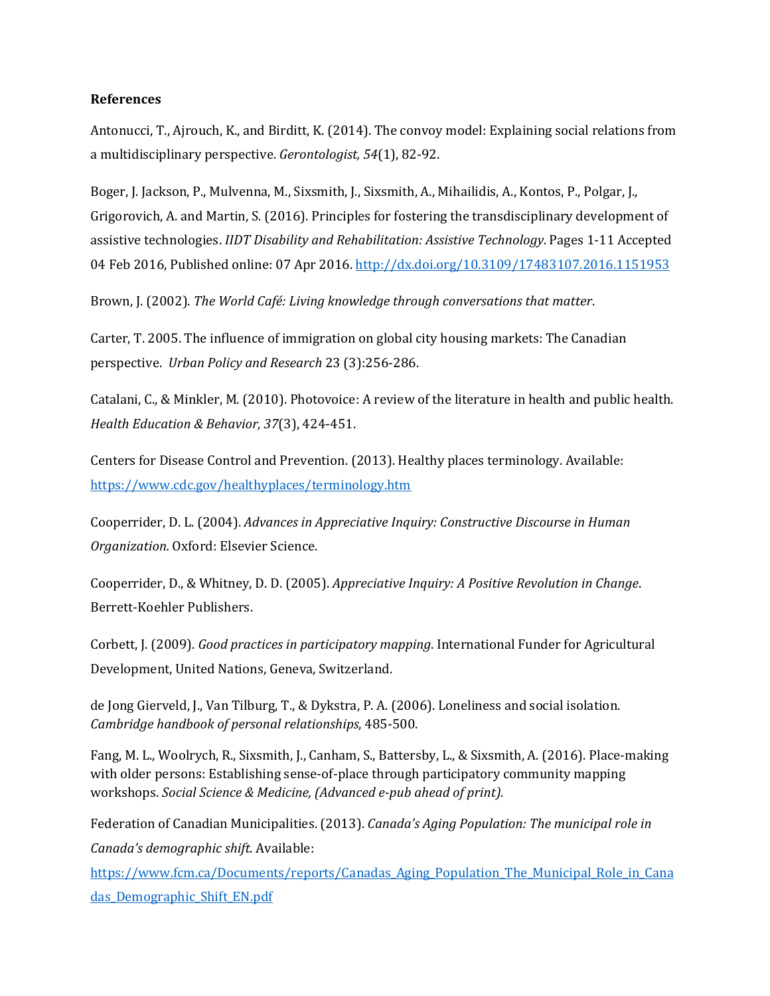## **References**

Antonucci, T., Ajrouch, K., and Birditt, K. (2014). The convoy model: Explaining social relations from a multidisciplinary perspective. *Gerontologist, 54*(1), 82-92.

Boger, J. Jackson, P., Mulvenna, M., Sixsmith, J., Sixsmith, A., Mihailidis, A., Kontos, P., Polgar, J., Grigorovich, A. and Martin, S. (2016). Principles for fostering the transdisciplinary development of assistive technologies. *IIDT Disability and Rehabilitation: Assistive Technology*. Pages 1-11 Accepted 04 Feb 2016, Published online: 07 Apr 2016. http://dx.doi.org/10.3109/17483107.2016.1151953

Brown, J. (2002). *The World Café: Living knowledge through conversations that matter*.

Carter, T. 2005. The influence of immigration on global city housing markets: The Canadian perspective. *Urban Policy and Research* 23 (3):256-286.

Catalani, C., & Minkler, M. (2010). Photovoice: A review of the literature in health and public health. *Health Education & Behavior, 37*(3), 424-451.

Centers for Disease Control and Prevention. (2013). Healthy places terminology. Available: https://www.cdc.gov/healthyplaces/terminology.htm

Cooperrider, D. L. (2004). *Advances in Appreciative Inquiry: Constructive Discourse in Human Organization.* Oxford: Elsevier Science.

Cooperrider, D., & Whitney, D. D. (2005). *Appreciative Inquiry: A Positive Revolution in Change*. Berrett-Koehler Publishers.

Corbett, J. (2009). *Good practices in participatory mapping*. International Funder for Agricultural Development, United Nations, Geneva, Switzerland.

de Jong Gierveld, J., Van Tilburg, T., & Dykstra, P. A. (2006). Loneliness and social isolation. *Cambridge handbook of personal relationships*, 485-500.

Fang, M. L., Woolrych, R., Sixsmith, J., Canham, S., Battersby, L., & Sixsmith, A. (2016). Place-making with older persons: Establishing sense-of-place through participatory community mapping workshops. *Social Science & Medicine, (Advanced e-pub ahead of print).*

Federation of Canadian Municipalities. (2013). *Canada's Aging Population: The municipal role in Canada's demographic shift*. Available:

https://www.fcm.ca/Documents/reports/Canadas Aging Population The Municipal Role in Cana das\_Demographic\_Shift\_EN.pdf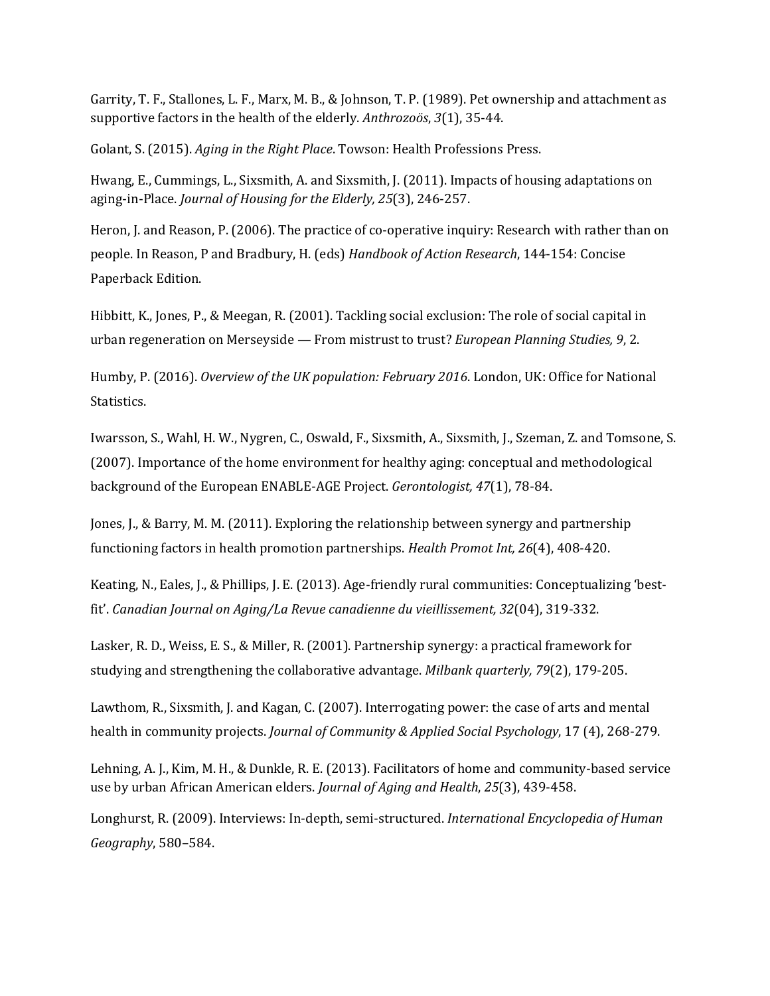Garrity, T. F., Stallones, L. F., Marx, M. B., & Johnson, T. P. (1989). Pet ownership and attachment as supportive factors in the health of the elderly. *Anthrozoös*, *3*(1), 35-44.

Golant, S. (2015). *Aging in the Right Place*. Towson: Health Professions Press.

Hwang, E., Cummings, L., Sixsmith, A. and Sixsmith, J. (2011). Impacts of housing adaptations on aging-in-Place. *Journal of Housing for the Elderly, 25*(3), 246-257.

Heron, J. and Reason, P. (2006). The practice of co-operative inquiry: Research with rather than on people. In Reason, P and Bradbury, H. (eds) *Handbook of Action Research*, 144-154: Concise Paperback Edition.

Hibbitt, K., Jones, P., & Meegan, R. (2001). Tackling social exclusion: The role of social capital in urban regeneration on Merseyside — From mistrust to trust? *European Planning Studies, 9*, 2.

Humby, P. (2016). *Overview of the UK population: February 2016*. London, UK: Office for National Statistics.

Iwarsson, S., Wahl, H. W., Nygren, C., Oswald, F., Sixsmith, A., Sixsmith, J., Szeman, Z. and Tomsone, S. (2007). Importance of the home environment for healthy aging: conceptual and methodological background of the European ENABLE-AGE Project. *Gerontologist, 47*(1), 78-84.

Jones, J., & Barry, M. M. (2011). Exploring the relationship between synergy and partnership functioning factors in health promotion partnerships. *Health Promot Int, 26*(4), 408-420.

Keating, N., Eales, J., & Phillips, J. E. (2013). Age-friendly rural communities: Conceptualizing 'bestfit'. *Canadian Journal on Aging/La Revue canadienne du vieillissement, 32*(04), 319-332.

Lasker, R. D., Weiss, E. S., & Miller, R. (2001). Partnership synergy: a practical framework for studying and strengthening the collaborative advantage. *Milbank quarterly, 79*(2), 179-205.

Lawthom, R., Sixsmith, J. and Kagan, C. (2007). Interrogating power: the case of arts and mental health in community projects. *Journal of Community & Applied Social Psychology*, 17 (4), 268-279.

Lehning, A. J., Kim, M. H., & Dunkle, R. E. (2013). Facilitators of home and community-based service use by urban African American elders. *Journal of Aging and Health*, *25*(3), 439-458.

Longhurst, R. (2009). Interviews: In-depth, semi-structured. *International Encyclopedia of Human Geography*, 580–584.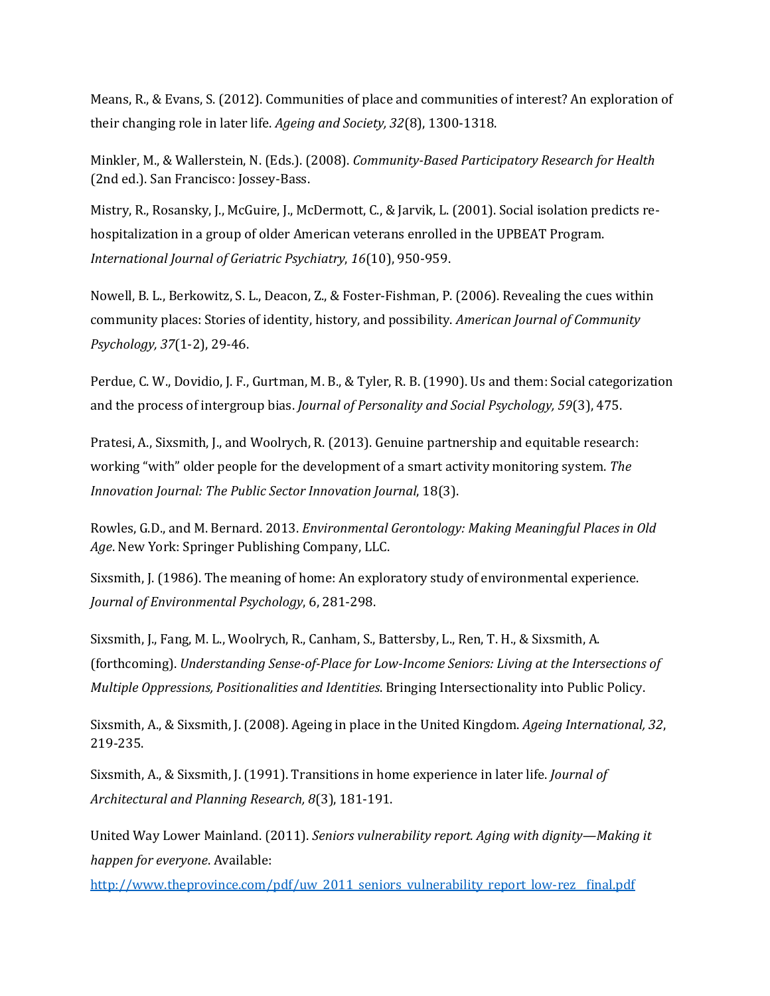Means, R., & Evans, S. (2012). Communities of place and communities of interest? An exploration of their changing role in later life. *Ageing and Society, 32*(8), 1300-1318.

Minkler, M., & Wallerstein, N. (Eds.). (2008). *Community-Based Participatory Research for Health* (2nd ed.). San Francisco: Jossey-Bass.

Mistry, R., Rosansky, J., McGuire, J., McDermott, C., & Jarvik, L. (2001). Social isolation predicts rehospitalization in a group of older American veterans enrolled in the UPBEAT Program. *International Journal of Geriatric Psychiatry*, *16*(10), 950-959.

Nowell, B. L., Berkowitz, S. L., Deacon, Z., & Foster-Fishman, P. (2006). Revealing the cues within community places: Stories of identity, history, and possibility. *American Journal of Community Psychology, 37*(1-2), 29-46.

Perdue, C. W., Dovidio, J. F., Gurtman, M. B., & Tyler, R. B. (1990). Us and them: Social categorization and the process of intergroup bias. *Journal of Personality and Social Psychology, 59*(3), 475.

Pratesi, A., Sixsmith, J., and Woolrych, R. (2013). Genuine partnership and equitable research: working "with" older people for the development of a smart activity monitoring system. *The Innovation Journal: The Public Sector Innovation Journal*, 18(3).

Rowles, G.D., and M. Bernard. 2013. *Environmental Gerontology: Making Meaningful Places in Old Age*. New York: Springer Publishing Company, LLC.

Sixsmith, J. (1986). The meaning of home: An exploratory study of environmental experience. *Journal of Environmental Psychology*, 6, 281-298.

Sixsmith, J., Fang, M. L., Woolrych, R., Canham, S., Battersby, L., Ren, T. H., & Sixsmith, A. (forthcoming). *Understanding Sense-of-Place for Low-Income Seniors: Living at the Intersections of Multiple Oppressions, Positionalities and Identities*. Bringing Intersectionality into Public Policy.

Sixsmith, A., & Sixsmith, J. (2008). Ageing in place in the United Kingdom. *Ageing International, 32*, 219-235.

Sixsmith, A., & Sixsmith, J. (1991). Transitions in home experience in later life. *Journal of Architectural and Planning Research, 8*(3), 181-191.

United Way Lower Mainland. (2011). *Seniors vulnerability report. Aging with dignity—Making it happen for everyone*. Available:

http://www.theprovince.com/pdf/uw\_2011\_seniors\_vulnerability\_report\_low-rez\_final.pdf